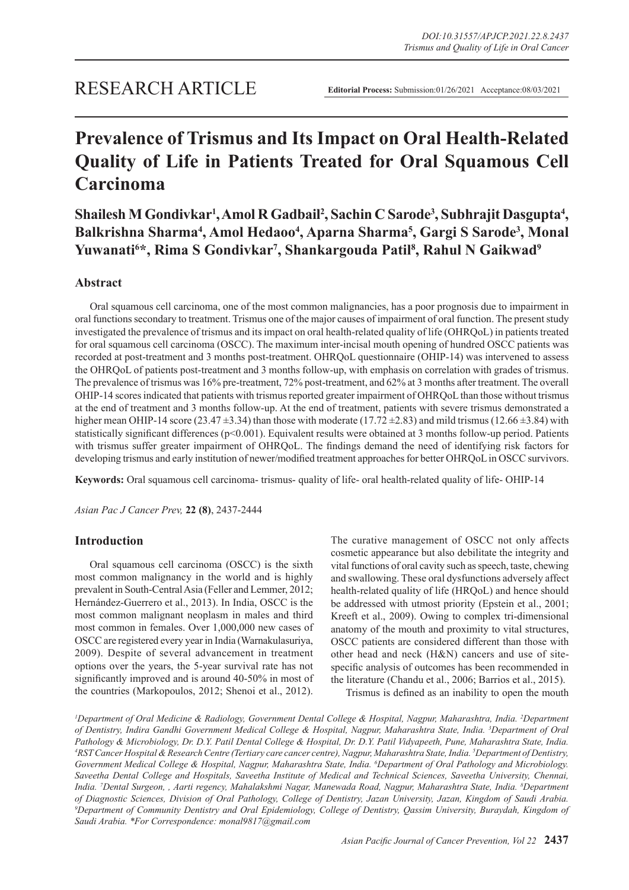# RESEARCH ARTICLE

**Editorial Process:** Submission:01/26/2021 Acceptance:08/03/2021

# **Prevalence of Trismus and Its Impact on Oral Health-Related Quality of Life in Patients Treated for Oral Squamous Cell Carcinoma**

Shailesh M Gondivkar<sup>1</sup>, Amol R Gadbail<sup>2</sup>, Sachin C Sarode<sup>3</sup>, Subhrajit Dasgupta<sup>4</sup>, Balkrishna Sharma<sup>4</sup>, Amol Hedaoo<sup>4</sup>, Aparna Sharma<sup>5</sup>, Gargi S Sarode<sup>3</sup>, Monal **Yuwanati6 \*, Rima S Gondivkar7 , Shankargouda Patil8 , Rahul N Gaikwad9**

# **Abstract**

Oral squamous cell carcinoma, one of the most common malignancies, has a poor prognosis due to impairment in oral functions secondary to treatment. Trismus one of the major causes of impairment of oral function. The present study investigated the prevalence of trismus and its impact on oral health-related quality of life (OHRQoL) in patients treated for oral squamous cell carcinoma (OSCC). The maximum inter-incisal mouth opening of hundred OSCC patients was recorded at post-treatment and 3 months post-treatment. OHRQoL questionnaire (OHIP-14) was intervened to assess the OHRQoL of patients post-treatment and 3 months follow-up, with emphasis on correlation with grades of trismus. The prevalence of trismus was 16% pre-treatment, 72% post-treatment, and 62% at 3 months after treatment. The overall OHIP-14 scores indicated that patients with trismus reported greater impairment of OHRQoL than those without trismus at the end of treatment and 3 months follow-up. At the end of treatment, patients with severe trismus demonstrated a higher mean OHIP-14 score (23.47  $\pm$ 3.34) than those with moderate (17.72  $\pm$ 2.83) and mild trismus (12.66  $\pm$ 3.84) with statistically significant differences (p<0.001). Equivalent results were obtained at 3 months follow-up period. Patients with trismus suffer greater impairment of OHRQoL. The findings demand the need of identifying risk factors for developing trismus and early institution of newer/modified treatment approaches for better OHRQoL in OSCC survivors.

**Keywords:** Oral squamous cell carcinoma- trismus- quality of life- oral health-related quality of life- OHIP-14

*Asian Pac J Cancer Prev,* **22 (8)**, 2437-2444

# **Introduction**

Oral squamous cell carcinoma (OSCC) is the sixth most common malignancy in the world and is highly prevalent in South-Central Asia (Feller and Lemmer, 2012; Hernández-Guerrero et al., 2013). In India, OSCC is the most common malignant neoplasm in males and third most common in females. Over 1,000,000 new cases of OSCC are registered every year in India (Warnakulasuriya, 2009). Despite of several advancement in treatment options over the years, the 5-year survival rate has not significantly improved and is around 40-50% in most of the countries (Markopoulos, 2012; Shenoi et al., 2012). The curative management of OSCC not only affects cosmetic appearance but also debilitate the integrity and vital functions of oral cavity such as speech, taste, chewing and swallowing. These oral dysfunctions adversely affect health-related quality of life (HRQoL) and hence should be addressed with utmost priority (Epstein et al., 2001; Kreeft et al., 2009). Owing to complex tri-dimensional anatomy of the mouth and proximity to vital structures, OSCC patients are considered different than those with other head and neck (H&N) cancers and use of sitespecific analysis of outcomes has been recommended in the literature (Chandu et al., 2006; Barrios et al., 2015).

Trismus is defined as an inability to open the mouth

*1 Department of Oral Medicine & Radiology, Government Dental College & Hospital, Nagpur, Maharashtra, India. 2 Department of Dentistry, Indira Gandhi Government Medical College & Hospital, Nagpur, Maharashtra State, India. 3 Department of Oral Pathology & Microbiology, Dr. D.Y. Patil Dental College & Hospital, Dr. D.Y. Patil Vidyapeeth, Pune, Maharashtra State, India. 4 RST Cancer Hospital & Research Centre (Tertiary care cancer centre), Nagpur, Maharashtra State, India. 5 Department of Dentistry,*  Government Medical College & Hospital, Nagpur, Maharashtra State, India. <sup>6</sup>Department of Oral Pathology and Microbiology. *Saveetha Dental College and Hospitals, Saveetha Institute of Medical and Technical Sciences, Saveetha University, Chennai, India. 7 Dental Surgeon, , Aarti regency, Mahalakshmi Nagar, Manewada Road, Nagpur, Maharashtra State, India. 8 Department of Diagnostic Sciences, Division of Oral Pathology, College of Dentistry, Jazan University, Jazan, Kingdom of Saudi Arabia. 9 Department of Community Dentistry and Oral Epidemiology, College of Dentistry, Qassim University, Buraydah, Kingdom of Saudi Arabia. \*For Correspondence: monal9817@gmail.com*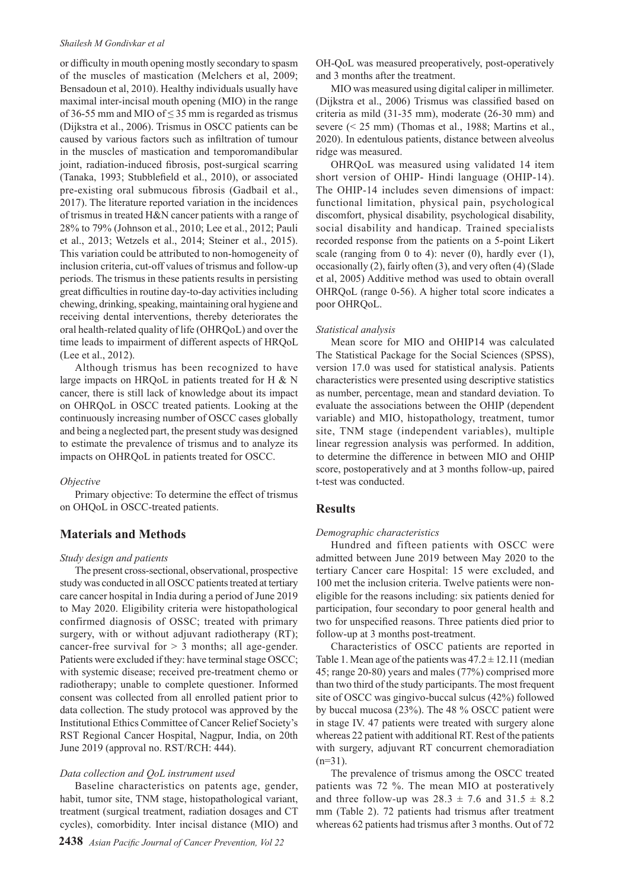#### *Shailesh M Gondivkar et al*

or difficulty in mouth opening mostly secondary to spasm of the muscles of mastication (Melchers et al, 2009; Bensadoun et al, 2010). Healthy individuals usually have maximal inter-incisal mouth opening (MIO) in the range of 36-55 mm and MIO of  $\leq$  35 mm is regarded as trismus (Dijkstra et al., 2006). Trismus in OSCC patients can be caused by various factors such as infiltration of tumour in the muscles of mastication and temporomandibular joint, radiation-induced fibrosis, post-surgical scarring (Tanaka, 1993; Stubblefield et al., 2010), or associated pre-existing oral submucous fibrosis (Gadbail et al., 2017). The literature reported variation in the incidences of trismus in treated H&N cancer patients with a range of 28% to 79% (Johnson et al., 2010; Lee et al., 2012; Pauli et al., 2013; Wetzels et al., 2014; Steiner et al., 2015). This variation could be attributed to non-homogeneity of inclusion criteria, cut-off values of trismus and follow-up periods. The trismus in these patients results in persisting great difficulties in routine day-to-day activities including chewing, drinking, speaking, maintaining oral hygiene and receiving dental interventions, thereby deteriorates the oral health-related quality of life (OHRQoL) and over the time leads to impairment of different aspects of HRQoL (Lee et al., 2012).

Although trismus has been recognized to have large impacts on HRQoL in patients treated for H & N cancer, there is still lack of knowledge about its impact on OHRQoL in OSCC treated patients. Looking at the continuously increasing number of OSCC cases globally and being a neglected part, the present study was designed to estimate the prevalence of trismus and to analyze its impacts on OHRQoL in patients treated for OSCC.

#### *Objective*

Primary objective: To determine the effect of trismus on OHQoL in OSCC-treated patients.

### **Materials and Methods**

#### *Study design and patients*

The present cross-sectional, observational, prospective study was conducted in all OSCC patients treated at tertiary care cancer hospital in India during a period of June 2019 to May 2020. Eligibility criteria were histopathological confirmed diagnosis of OSSC; treated with primary surgery, with or without adjuvant radiotherapy (RT); cancer-free survival for  $> 3$  months; all age-gender. Patients were excluded if they: have terminal stage OSCC; with systemic disease; received pre-treatment chemo or radiotherapy; unable to complete questioner. Informed consent was collected from all enrolled patient prior to data collection. The study protocol was approved by the Institutional Ethics Committee of Cancer Relief Society's RST Regional Cancer Hospital, Nagpur, India, on 20th June 2019 (approval no. RST/RCH: 444).

#### *Data collection and QoL instrument used*

Baseline characteristics on patents age, gender, habit, tumor site, TNM stage, histopathological variant, treatment (surgical treatment, radiation dosages and CT cycles), comorbidity. Inter incisal distance (MIO) and OH-QoL was measured preoperatively, post-operatively and 3 months after the treatment.

MIO was measured using digital caliper in millimeter. (Dijkstra et al., 2006) Trismus was classified based on criteria as mild (31-35 mm), moderate (26-30 mm) and severe (< 25 mm) (Thomas et al., 1988; Martins et al., 2020). In edentulous patients, distance between alveolus ridge was measured.

OHRQoL was measured using validated 14 item short version of OHIP- Hindi language (OHIP-14). The OHIP-14 includes seven dimensions of impact: functional limitation, physical pain, psychological discomfort, physical disability, psychological disability, social disability and handicap. Trained specialists recorded response from the patients on a 5-point Likert scale (ranging from 0 to 4): never  $(0)$ , hardly ever  $(1)$ , occasionally (2), fairly often (3), and very often (4) (Slade et al, 2005) Additive method was used to obtain overall OHRQoL (range 0-56). A higher total score indicates a poor OHRQoL.

#### *Statistical analysis*

Mean score for MIO and OHIP14 was calculated The Statistical Package for the Social Sciences (SPSS), version 17.0 was used for statistical analysis. Patients characteristics were presented using descriptive statistics as number, percentage, mean and standard deviation. To evaluate the associations between the OHIP (dependent variable) and MIO, histopathology, treatment, tumor site, TNM stage (independent variables), multiple linear regression analysis was performed. In addition, to determine the difference in between MIO and OHIP score, postoperatively and at 3 months follow-up, paired t-test was conducted.

### **Results**

#### *Demographic characteristics*

Hundred and fifteen patients with OSCC were admitted between June 2019 between May 2020 to the tertiary Cancer care Hospital: 15 were excluded, and 100 met the inclusion criteria. Twelve patients were noneligible for the reasons including: six patients denied for participation, four secondary to poor general health and two for unspecified reasons. Three patients died prior to follow-up at 3 months post-treatment.

Characteristics of OSCC patients are reported in Table 1. Mean age of the patients was  $47.2 \pm 12.11$  (median 45; range 20-80) years and males (77%) comprised more than two third of the study participants. The most frequent site of OSCC was gingivo-buccal sulcus (42%) followed by buccal mucosa (23%). The 48 % OSCC patient were in stage IV. 47 patients were treated with surgery alone whereas 22 patient with additional RT. Rest of the patients with surgery, adjuvant RT concurrent chemoradiation  $(n=31)$ .

The prevalence of trismus among the OSCC treated patients was 72 %. The mean MIO at posteratively and three follow-up was  $28.3 \pm 7.6$  and  $31.5 \pm 8.2$ mm (Table 2). 72 patients had trismus after treatment whereas 62 patients had trismus after 3 months. Out of 72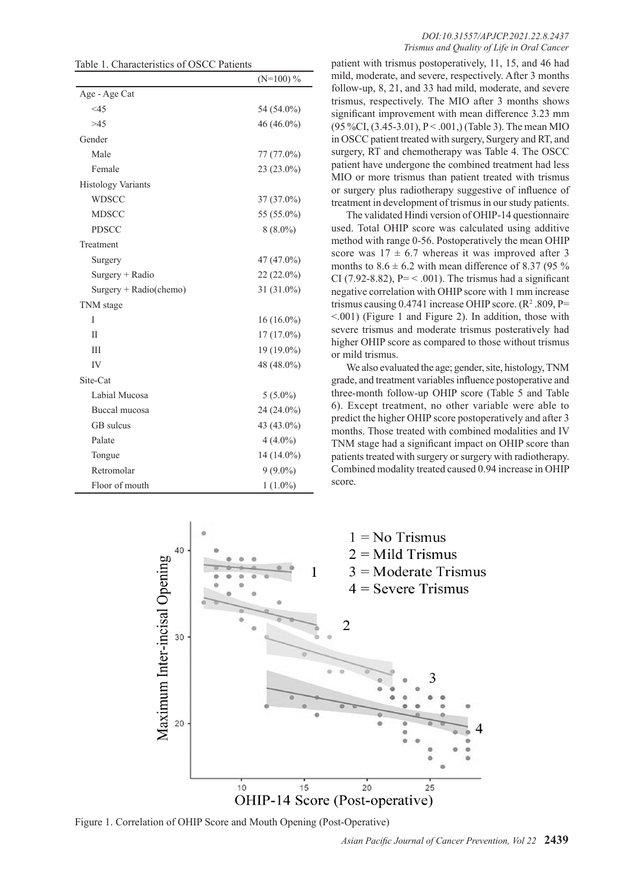Table 1. Characteristics of OSCC Patients

|                           | $(N=100)$ %  |
|---------------------------|--------------|
| Age - Age Cat             |              |
| <45                       | 54 (54.0%)   |
| >45                       | $46(46.0\%)$ |
| Gender                    |              |
| Male                      | $77(77.0\%)$ |
| Female                    | 23 (23.0%)   |
| <b>Histology Variants</b> |              |
| <b>WDSCC</b>              | 37 (37.0%)   |
| <b>MDSCC</b>              | 55 (55.0%)   |
| <b>PDSCC</b>              | $8(8.0\%)$   |
| Treatment                 |              |
| Surgery                   | 47 (47.0%)   |
| $Surgery + Radio$         | $22(22.0\%)$ |
| Surgery + Radio(chemo)    | 31 (31.0%)   |
| TNM stage                 |              |
| T                         | $16(16.0\%)$ |
| $\mathbf{I}$              | $17(17.0\%)$ |
| IΙI                       | 19 (19.0%)   |
| IV                        | 48 (48.0%)   |
| Site-Cat                  |              |
| Labial Mucosa             | $5(5.0\%)$   |
| Buccal mucosa             | 24 (24.0%)   |
| GB sulcus                 | 43 (43.0%)   |
| Palate                    | $4(4.0\%)$   |
| Tongue                    | 14 (14.0%)   |
| Retromolar                | $9(9.0\%)$   |
| Floor of mouth            | $1(1.0\%)$   |

patient with trismus postoperatively, 11, 15, and 46 had mild, moderate, and severe, respectively. After 3 months follow-up, 8, 21, and 33 had mild, moderate, and severe trismus, respectively. The MIO after 3 months shows significant improvement with mean difference 3.23 mm (95 %CI,  $(3.45-3.01)$ , P < .001,) (Table 3). The mean MIO in OSCC patient treated with surgery, Surgery and RT, and surgery, RT and chemotherapy was Table 4. The OSCC patient have undergone the combined treatment had less MIO or more trismus than patient treated with trismus or surgery plus radiotherapy suggestive of influence of treatment in development of trismus in our study patients.

The validated Hindi version of OHIP-14 questionnaire used. Total OHIP score was calculated using additive method with range 0-56. Postoperatively the mean OHIP score was  $17 \pm 6.7$  whereas it was improved after 3 months to  $8.6 \pm 6.2$  with mean difference of 8.37 (95 %) CI (7.92-8.82),  $P = \langle .001 \rangle$ . The trismus had a significant negative correlation with OHIP score with 1 mm increase trismus causing  $0.4741$  increase OHIP score. ( $\mathbb{R}^2$ .809, P= <.001) (Figure 1 and Figure 2). In addition, those with severe trismus and moderate trismus posteratively had higher OHIP score as compared to those without trismus or mild trismus.

We also evaluated the age; gender, site, histology, TNM grade, and treatment variables influence postoperative and three-month follow-up OHIP score (Table 5 and Table 6). Except treatment, no other variable were able to predict the higher OHIP score postoperatively and after 3 months. Those treated with combined modalities and IV TNM stage had a significant impact on OHIP score than patients treated with surgery or surgery with radiotherapy. Combined modality treated caused 0.94 increase in OHIP score.



Figure 1. Correlation of OHIP Score and Mouth Opening (Post-Operative)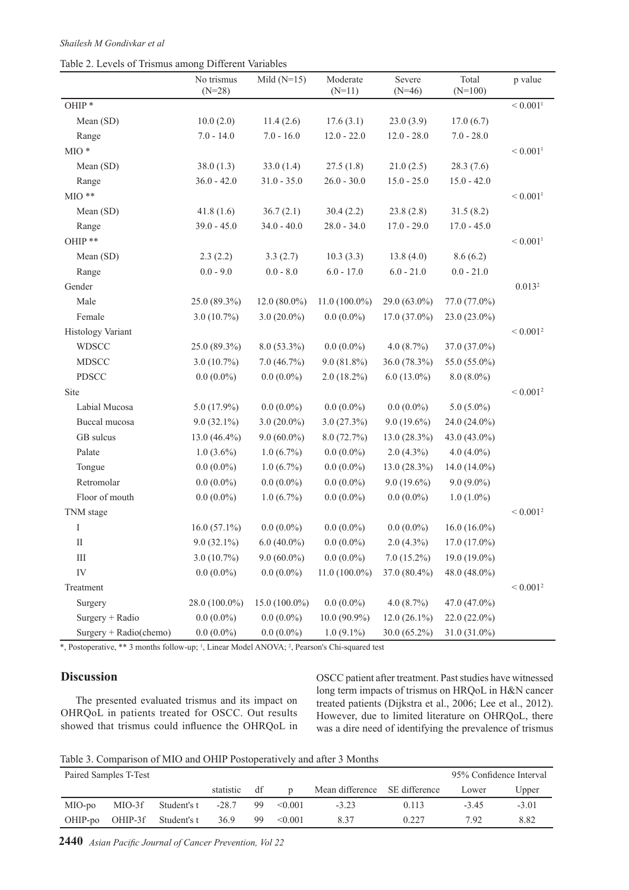| Table 2. Levels of Trismus among Different Variables |  |  |
|------------------------------------------------------|--|--|
|------------------------------------------------------|--|--|

|                        | No trismus<br>$(N=28)$ | Mild $(N=15)$   | Moderate<br>$(N=11)$ | Severe<br>$(N=46)$ | Total<br>$(N=100)$ | p value                  |
|------------------------|------------------------|-----------------|----------------------|--------------------|--------------------|--------------------------|
| OHIP <sup>*</sup>      |                        |                 |                      |                    |                    | ${}< 0.001$ <sup>1</sup> |
| Mean (SD)              | 10.0(2.0)              | 11.4(2.6)       | 17.6(3.1)            | 23.0(3.9)          | 17.0(6.7)          |                          |
| Range                  | $7.0 - 14.0$           | $7.0 - 16.0$    | $12.0 - 22.0$        | $12.0 - 28.0$      | $7.0 - 28.0$       |                          |
| $\rm MO$ *             |                        |                 |                      |                    |                    | ${}< 0.001$ <sup>1</sup> |
| Mean (SD)              | 38.0(1.3)              | 33.0(1.4)       | 27.5(1.8)            | 21.0(2.5)          | 28.3(7.6)          |                          |
| Range                  | $36.0 - 42.0$          | $31.0 - 35.0$   | $26.0 - 30.0$        | $15.0 - 25.0$      | $15.0 - 42.0$      |                          |
| $\rm{MIO}$ **          |                        |                 |                      |                    |                    | ${}< 0.001$ <sup>1</sup> |
| Mean (SD)              | 41.8(1.6)              | 36.7(2.1)       | 30.4(2.2)            | 23.8(2.8)          | 31.5(8.2)          |                          |
| Range                  | $39.0 - 45.0$          | $34.0 - 40.0$   | $28.0 - 34.0$        | $17.0 - 29.0$      | $17.0 - 45.0$      |                          |
| OHIP**                 |                        |                 |                      |                    |                    | ${}< 0.001$ <sup>1</sup> |
| Mean (SD)              | 2.3(2.2)               | 3.3(2.7)        | 10.3(3.3)            | 13.8(4.0)          | 8.6(6.2)           |                          |
| Range                  | $0.0 - 9.0$            | $0.0 - 8.0$     | $6.0 - 17.0$         | $6.0 - 21.0$       | $0.0 - 21.0$       |                          |
| Gender                 |                        |                 |                      |                    |                    | 0.013 <sup>2</sup>       |
| Male                   | 25.0 (89.3%)           | $12.0(80.0\%)$  | $11.0(100.0\%)$      | 29.0 (63.0%)       | 77.0 (77.0%)       |                          |
| Female                 | $3.0(10.7\%)$          | $3.0(20.0\%)$   | $0.0(0.0\%)$         | $17.0(37.0\%)$     | 23.0 (23.0%)       |                          |
| Histology Variant      |                        |                 |                      |                    |                    | ${}< 0.0012$             |
| <b>WDSCC</b>           | 25.0 (89.3%)           | $8.0(53.3\%)$   | $0.0(0.0\%)$         | $4.0(8.7\%)$       | 37.0 (37.0%)       |                          |
| <b>MDSCC</b>           | $3.0(10.7\%)$          | 7.0(46.7%)      | $9.0(81.8\%)$        | 36.0 (78.3%)       | 55.0 (55.0%)       |                          |
| <b>PDSCC</b>           | $0.0(0.0\%)$           | $0.0(0.0\%)$    | $2.0(18.2\%)$        | $6.0(13.0\%)$      | $8.0(8.0\%)$       |                          |
| Site                   |                        |                 |                      |                    |                    | ${}< 0.0012$             |
| Labial Mucosa          | $5.0(17.9\%)$          | $0.0(0.0\%)$    | $0.0(0.0\%)$         | $0.0(0.0\%)$       | $5.0(5.0\%)$       |                          |
| Buccal mucosa          | $9.0(32.1\%)$          | $3.0(20.0\%)$   | 3.0(27.3%)           | $9.0(19.6\%)$      | 24.0 (24.0%)       |                          |
| GB sulcus              | 13.0 $(46.4\%)$        | $9.0(60.0\%)$   | 8.0(72.7%)           | $13.0(28.3\%)$     | 43.0 (43.0%)       |                          |
| Palate                 | $1.0(3.6\%)$           | $1.0(6.7\%)$    | $0.0(0.0\%)$         | $2.0(4.3\%)$       | $4.0(4.0\%)$       |                          |
| Tongue                 | $0.0(0.0\%)$           | $1.0(6.7\%)$    | $0.0(0.0\%)$         | $13.0(28.3\%)$     | 14.0 $(14.0\%)$    |                          |
| Retromolar             | $0.0(0.0\%)$           | $0.0(0.0\%)$    | $0.0(0.0\%)$         | $9.0(19.6\%)$      | $9.0(9.0\%)$       |                          |
| Floor of mouth         | $0.0(0.0\%)$           | $1.0(6.7\%)$    | $0.0(0.0\%)$         | $0.0(0.0\%)$       | $1.0(1.0\%)$       |                          |
| TNM stage              |                        |                 |                      |                    |                    | ${}< 0.0012$             |
| I                      | $16.0(57.1\%)$         | $0.0(0.0\%)$    | $0.0(0.0\%)$         | $0.0(0.0\%)$       | $16.0(16.0\%)$     |                          |
| $\rm II$               | $9.0(32.1\%)$          | $6.0(40.0\%)$   | $0.0(0.0\%)$         | $2.0(4.3\%)$       | $17.0(17.0\%)$     |                          |
| Ш                      | $3.0(10.7\%)$          | $9.0(60.0\%)$   | $0.0(0.0\%)$         | $7.0(15.2\%)$      | 19.0 $(19.0\%)$    |                          |
| IV                     | $0.0(0.0\%)$           | $0.0(0.0\%)$    | $11.0(100.0\%)$      | 37.0 (80.4%)       | 48.0 $(48.0\%)$    |                          |
| Treatment              |                        |                 |                      |                    |                    | ${}< 0.0012$             |
| Surgery                | 28.0 (100.0%)          | $15.0(100.0\%)$ | $0.0(0.0\%)$         | 4.0(8.7%)          | 47.0 (47.0%)       |                          |
| Surgery + Radio        | $0.0(0.0\%)$           | $0.0(0.0\%)$    | $10.0(90.9\%)$       | $12.0(26.1\%)$     | $22.0(22.0\%)$     |                          |
| Surgery + Radio(chemo) | $0.0(0.0\%)$           | $0.0(0.0\%)$    | $1.0(9.1\%)$         | 30.0 (65.2%)       | 31.0 (31.0%)       |                          |

\*, Postoperative, \*\* 3 months follow-up; 1 , Linear Model ANOVA; 2 , Pearson's Chi-squared test

# **Discussion**

The presented evaluated trismus and its impact on OHRQoL in patients treated for OSCC. Out results showed that trismus could influence the OHRQoL in OSCC patient after treatment. Past studies have witnessed long term impacts of trismus on HRQoL in H&N cancer treated patients (Dijkstra et al., 2006; Lee et al., 2012). However, due to limited literature on OHRQoL, there was a dire need of identifying the prevalence of trismus

Table 3. Comparison of MIO and OHIP Postoperatively and after 3 Months

| Paired Samples T-Test |         |             |           |    |              | 95% Confidence Interval       |       |        |         |
|-----------------------|---------|-------------|-----------|----|--------------|-------------------------------|-------|--------|---------|
|                       |         |             | statistic | df |              | Mean difference SE difference |       | Lower  | Upper   |
| MIO-po                | MIO-3f  | Student's t | $-28.7$   | 99 | $\leq 0.001$ | $-3.23$                       | 0.113 | $-345$ | $-3.01$ |
| OHIP-po               | OHIP-3f | Student's t | 36.9      | 99 | $\leq 0.001$ | 837                           | 0.227 | 7.92   | 8.82    |

**2440** *Asian Pacific Journal of Cancer Prevention, Vol 22*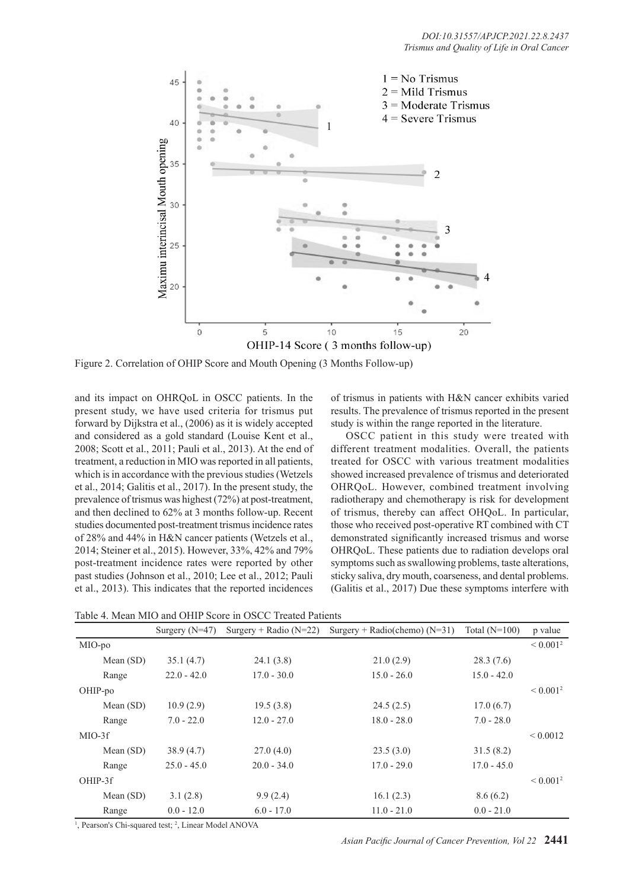

Figure 2. Correlation of OHIP Score and Mouth Opening (3 Months Follow-up)

and its impact on OHRQoL in OSCC patients. In the present study, we have used criteria for trismus put forward by Dijkstra et al., (2006) as it is widely accepted and considered as a gold standard (Louise Kent et al., 2008; Scott et al., 2011; Pauli et al., 2013). At the end of treatment, a reduction in MIO was reported in all patients, which is in accordance with the previous studies (Wetzels et al., 2014; Galitis et al., 2017). In the present study, the prevalence of trismus was highest (72%) at post-treatment, and then declined to 62% at 3 months follow-up. Recent studies documented post-treatment trismus incidence rates of 28% and 44% in H&N cancer patients (Wetzels et al., 2014; Steiner et al., 2015). However, 33%, 42% and 79% post-treatment incidence rates were reported by other past studies (Johnson et al., 2010; Lee et al., 2012; Pauli et al., 2013). This indicates that the reported incidences

of trismus in patients with H&N cancer exhibits varied results. The prevalence of trismus reported in the present study is within the range reported in the literature.

OSCC patient in this study were treated with different treatment modalities. Overall, the patients treated for OSCC with various treatment modalities showed increased prevalence of trismus and deteriorated OHRQoL. However, combined treatment involving radiotherapy and chemotherapy is risk for development of trismus, thereby can affect OHQoL. In particular, those who received post-operative RT combined with CT demonstrated significantly increased trismus and worse OHRQoL. These patients due to radiation develops oral symptoms such as swallowing problems, taste alterations, sticky saliva, dry mouth, coarseness, and dental problems. (Galitis et al., 2017) Due these symptoms interfere with

Table 4. Mean MIO and OHIP Score in OSCC Treated Patients

|             | Surgery $(N=47)$ | Surgery + Radio ( $N=22$ ) | Surgery + Radio(chemo) $(N=31)$ | Total $(N=100)$ | p value      |
|-------------|------------------|----------------------------|---------------------------------|-----------------|--------------|
| MIO-po      |                  |                            |                                 |                 | ${}< 0.0012$ |
| Mean $(SD)$ | 35.1(4.7)        | 24.1(3.8)                  | 21.0(2.9)                       | 28.3(7.6)       |              |
| Range       | $22.0 - 42.0$    | $17.0 - 30.0$              | $15.0 - 26.0$                   | $15.0 - 42.0$   |              |
| OHIP-po     |                  |                            |                                 |                 | ${}< 0.0012$ |
| Mean $(SD)$ | 10.9(2.9)        | 19.5(3.8)                  | 24.5(2.5)                       | 17.0(6.7)       |              |
| Range       | $7.0 - 22.0$     | $12.0 - 27.0$              | $18.0 - 28.0$                   | $7.0 - 28.0$    |              |
| $MIO-3f$    |                  |                            |                                 |                 | ${}< 0.0012$ |
| Mean (SD)   | 38.9(4.7)        | 27.0(4.0)                  | 23.5(3.0)                       | 31.5(8.2)       |              |
| Range       | $25.0 - 45.0$    | $20.0 - 34.0$              | $17.0 - 29.0$                   | $17.0 - 45.0$   |              |
| OHIP-3f     |                  |                            |                                 |                 | ${}< 0.0012$ |
| Mean $(SD)$ | 3.1(2.8)         | 9.9(2.4)                   | 16.1(2.3)                       | 8.6(6.2)        |              |
| Range       | $0.0 - 12.0$     | $6.0 - 17.0$               | $11.0 - 21.0$                   | $0.0 - 21.0$    |              |

<sup>1</sup>, Pearson's Chi-squared test; <sup>2</sup>, Linear Model ANOVA

*Asian Pacific Journal of Cancer Prevention, Vol 22* **2441**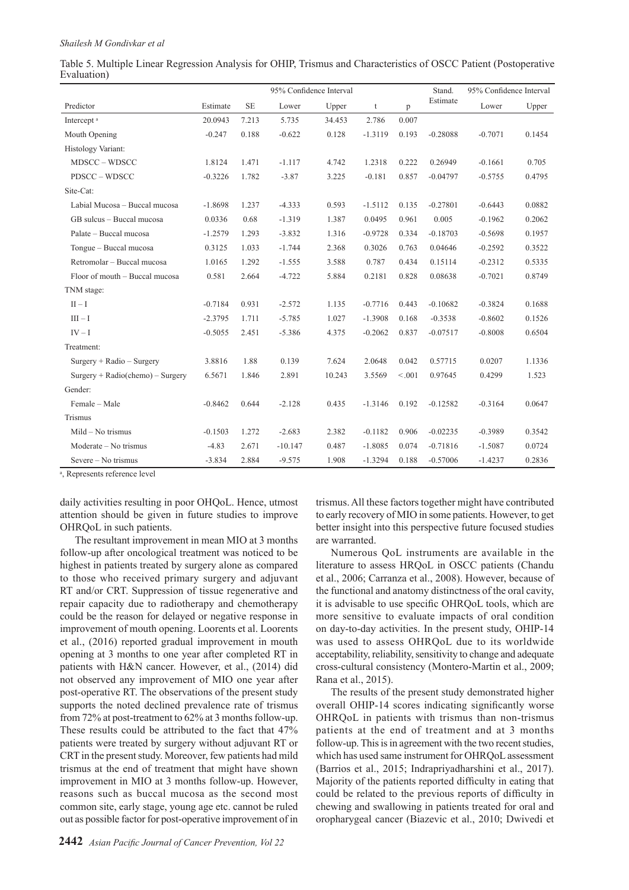| Table 5. Multiple Linear Regression Analysis for OHIP, Trismus and Characteristics of OSCC Patient (Postoperative |  |  |  |
|-------------------------------------------------------------------------------------------------------------------|--|--|--|
| Evaluation)                                                                                                       |  |  |  |

|                                    |           | 95% Confidence Interval |           |        |           | Stand.  | 95% Confidence Interval |           |        |
|------------------------------------|-----------|-------------------------|-----------|--------|-----------|---------|-------------------------|-----------|--------|
| Predictor                          | Estimate  | <b>SE</b>               | Lower     | Upper  | t         | p       | Estimate                | Lower     | Upper  |
| Intercept <sup>a</sup>             | 20.0943   | 7.213                   | 5.735     | 34.453 | 2.786     | 0.007   |                         |           |        |
| Mouth Opening                      | $-0.247$  | 0.188                   | $-0.622$  | 0.128  | $-1.3119$ | 0.193   | $-0.28088$              | $-0.7071$ | 0.1454 |
| Histology Variant:                 |           |                         |           |        |           |         |                         |           |        |
| MDSCC-WDSCC                        | 1.8124    | 1.471                   | $-1.117$  | 4.742  | 1.2318    | 0.222   | 0.26949                 | $-0.1661$ | 0.705  |
| PDSCC - WDSCC                      | $-0.3226$ | 1.782                   | $-3.87$   | 3.225  | $-0.181$  | 0.857   | $-0.04797$              | $-0.5755$ | 0.4795 |
| Site-Cat:                          |           |                         |           |        |           |         |                         |           |        |
| Labial Mucosa - Buccal mucosa      | $-1.8698$ | 1.237                   | $-4.333$  | 0.593  | $-1.5112$ | 0.135   | $-0.27801$              | $-0.6443$ | 0.0882 |
| GB sulcus - Buccal mucosa          | 0.0336    | 0.68                    | $-1.319$  | 1.387  | 0.0495    | 0.961   | 0.005                   | $-0.1962$ | 0.2062 |
| Palate – Buccal mucosa             | $-1.2579$ | 1.293                   | $-3.832$  | 1.316  | $-0.9728$ | 0.334   | $-0.18703$              | $-0.5698$ | 0.1957 |
| Tongue - Buccal mucosa             | 0.3125    | 1.033                   | $-1.744$  | 2.368  | 0.3026    | 0.763   | 0.04646                 | $-0.2592$ | 0.3522 |
| Retromolar - Buccal mucosa         | 1.0165    | 1.292                   | $-1.555$  | 3.588  | 0.787     | 0.434   | 0.15114                 | $-0.2312$ | 0.5335 |
| Floor of mouth – Buccal mucosa     | 0.581     | 2.664                   | $-4.722$  | 5.884  | 0.2181    | 0.828   | 0.08638                 | $-0.7021$ | 0.8749 |
| TNM stage:                         |           |                         |           |        |           |         |                         |           |        |
| $II-I$                             | $-0.7184$ | 0.931                   | $-2.572$  | 1.135  | $-0.7716$ | 0.443   | $-0.10682$              | $-0.3824$ | 0.1688 |
| $III - I$                          | $-2.3795$ | 1.711                   | $-5.785$  | 1.027  | $-1.3908$ | 0.168   | $-0.3538$               | $-0.8602$ | 0.1526 |
| $IV-I$                             | $-0.5055$ | 2.451                   | $-5.386$  | 4.375  | $-0.2062$ | 0.837   | $-0.07517$              | $-0.8008$ | 0.6504 |
| Treatment:                         |           |                         |           |        |           |         |                         |           |        |
| $Surgery + Radio - Surgery$        | 3.8816    | 1.88                    | 0.139     | 7.624  | 2.0648    | 0.042   | 0.57715                 | 0.0207    | 1.1336 |
| $Surgery + Radio(chemo) - Surgery$ | 6.5671    | 1.846                   | 2.891     | 10.243 | 3.5569    | < 0.001 | 0.97645                 | 0.4299    | 1.523  |
| Gender:                            |           |                         |           |        |           |         |                         |           |        |
| Female - Male                      | $-0.8462$ | 0.644                   | $-2.128$  | 0.435  | $-1.3146$ | 0.192   | $-0.12582$              | $-0.3164$ | 0.0647 |
| Trismus                            |           |                         |           |        |           |         |                         |           |        |
| $Mid - No$ trismus                 | $-0.1503$ | 1.272                   | $-2.683$  | 2.382  | $-0.1182$ | 0.906   | $-0.02235$              | $-0.3989$ | 0.3542 |
| Moderate – No trismus              | $-4.83$   | 2.671                   | $-10.147$ | 0.487  | $-1.8085$ | 0.074   | $-0.71816$              | $-1.5087$ | 0.0724 |
| Severe – No trismus                | $-3.834$  | 2.884                   | $-9.575$  | 1.908  | $-1.3294$ | 0.188   | $-0.57006$              | $-1.4237$ | 0.2836 |

<sup>a</sup>, Represents reference level

daily activities resulting in poor OHQoL. Hence, utmost attention should be given in future studies to improve OHRQoL in such patients.

The resultant improvement in mean MIO at 3 months follow-up after oncological treatment was noticed to be highest in patients treated by surgery alone as compared to those who received primary surgery and adjuvant RT and/or CRT. Suppression of tissue regenerative and repair capacity due to radiotherapy and chemotherapy could be the reason for delayed or negative response in improvement of mouth opening. Loorents et al. Loorents et al., (2016) reported gradual improvement in mouth opening at 3 months to one year after completed RT in patients with H&N cancer. However, et al., (2014) did not observed any improvement of MIO one year after post-operative RT. The observations of the present study supports the noted declined prevalence rate of trismus from 72% at post-treatment to 62% at 3 months follow-up. These results could be attributed to the fact that 47% patients were treated by surgery without adjuvant RT or CRT in the present study. Moreover, few patients had mild trismus at the end of treatment that might have shown improvement in MIO at 3 months follow-up. However, reasons such as buccal mucosa as the second most common site, early stage, young age etc. cannot be ruled out as possible factor for post-operative improvement of in

trismus. All these factors together might have contributed to early recovery of MIO in some patients. However, to get better insight into this perspective future focused studies are warranted.

Numerous QoL instruments are available in the literature to assess HRQoL in OSCC patients (Chandu et al., 2006; Carranza et al., 2008). However, because of the functional and anatomy distinctness of the oral cavity, it is advisable to use specific OHRQoL tools, which are more sensitive to evaluate impacts of oral condition on day-to-day activities. In the present study, OHIP-14 was used to assess OHRQoL due to its worldwide acceptability, reliability, sensitivity to change and adequate cross-cultural consistency (Montero-Martin et al., 2009; Rana et al., 2015).

The results of the present study demonstrated higher overall OHIP-14 scores indicating significantly worse OHRQoL in patients with trismus than non-trismus patients at the end of treatment and at 3 months follow-up. This is in agreement with the two recent studies, which has used same instrument for OHRQoL assessment (Barrios et al., 2015; Indrapriyadharshini et al., 2017). Majority of the patients reported difficulty in eating that could be related to the previous reports of difficulty in chewing and swallowing in patients treated for oral and oropharygeal cancer (Biazevic et al., 2010; Dwivedi et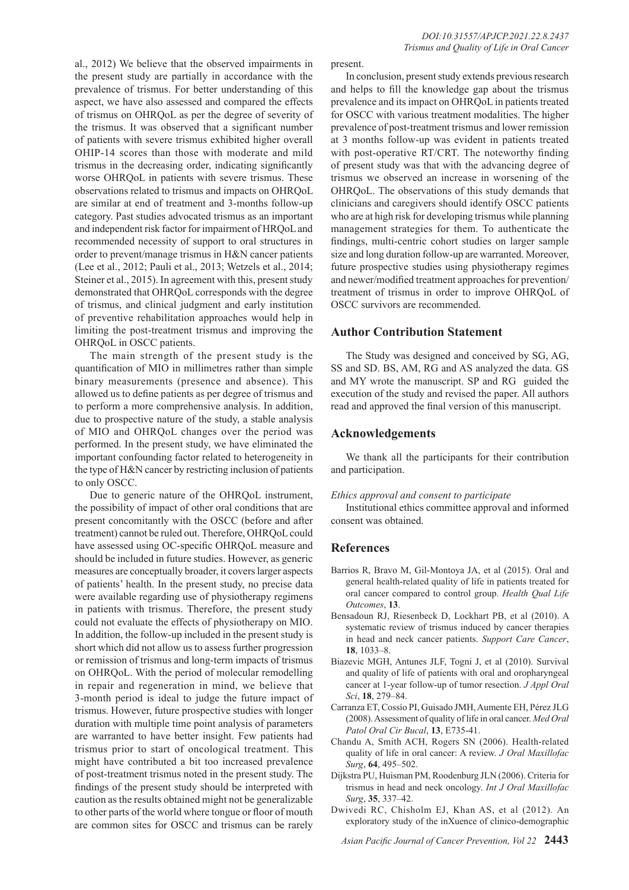al., 2012) We believe that the observed impairments in the present study are partially in accordance with the prevalence of trismus. For better understanding of this aspect, we have also assessed and compared the effects of trismus on OHRQoL as per the degree of severity of the trismus. It was observed that a significant number of patients with severe trismus exhibited higher overall OHIP-14 scores than those with moderate and mild trismus in the decreasing order, indicating significantly worse OHRQoL in patients with severe trismus. These observations related to trismus and impacts on OHRQoL are similar at end of treatment and 3-months follow-up category. Past studies advocated trismus as an important and independent risk factor for impairment of HRQoL and recommended necessity of support to oral structures in order to prevent/manage trismus in H&N cancer patients (Lee et al., 2012; Pauli et al., 2013; Wetzels et al., 2014; Steiner et al., 2015). In agreement with this, present study demonstrated that OHRQoL corresponds with the degree of trismus, and clinical judgment and early institution of preventive rehabilitation approaches would help in limiting the post-treatment trismus and improving the OHRQoL in OSCC patients.

The main strength of the present study is the quantification of MIO in millimetres rather than simple binary measurements (presence and absence). This allowed us to define patients as per degree of trismus and to perform a more comprehensive analysis. In addition, due to prospective nature of the study, a stable analysis of MIO and OHRQoL changes over the period was performed. In the present study, we have eliminated the important confounding factor related to heterogeneity in the type of H&N cancer by restricting inclusion of patients to only OSCC.

Due to generic nature of the OHRQoL instrument, the possibility of impact of other oral conditions that are present concomitantly with the OSCC (before and after treatment) cannot be ruled out. Therefore, OHRQoL could have assessed using OC-specific OHRQoL measure and should be included in future studies. However, as generic measures are conceptually broader, it covers larger aspects of patients' health. In the present study, no precise data were available regarding use of physiotherapy regimens in patients with trismus. Therefore, the present study could not evaluate the effects of physiotherapy on MIO. In addition, the follow-up included in the present study is short which did not allow us to assess further progression or remission of trismus and long-term impacts of trismus on OHRQoL. With the period of molecular remodelling in repair and regeneration in mind, we believe that 3-month period is ideal to judge the future impact of trismus. However, future prospective studies with longer duration with multiple time point analysis of parameters are warranted to have better insight. Few patients had trismus prior to start of oncological treatment. This might have contributed a bit too increased prevalence of post-treatment trismus noted in the present study. The findings of the present study should be interpreted with caution as the results obtained might not be generalizable to other parts of the world where tongue or floor of mouth are common sites for OSCC and trismus can be rarely

present.

In conclusion, present study extends previous research and helps to fill the knowledge gap about the trismus prevalence and its impact on OHRQoL in patients treated for OSCC with various treatment modalities. The higher prevalence of post-treatment trismus and lower remission at 3 months follow-up was evident in patients treated with post-operative RT/CRT. The noteworthy finding of present study was that with the advancing degree of trismus we observed an increase in worsening of the OHRQoL. The observations of this study demands that clinicians and caregivers should identify OSCC patients who are at high risk for developing trismus while planning management strategies for them. To authenticate the findings, multi-centric cohort studies on larger sample size and long duration follow-up are warranted. Moreover, future prospective studies using physiotherapy regimes and newer/modified treatment approaches for prevention/ treatment of trismus in order to improve OHRQoL of OSCC survivors are recommended.

## **Author Contribution Statement**

The Study was designed and conceived by SG, AG, SS and SD. BS, AM, RG and AS analyzed the data. GS and MY wrote the manuscript. SP and RG guided the execution of the study and revised the paper. All authors read and approved the final version of this manuscript.

## **Acknowledgements**

We thank all the participants for their contribution and participation.

#### *Ethics approval and consent to participate*

Institutional ethics committee approval and informed consent was obtained.

## **References**

- Barrios R, Bravo M, Gil-Montoya JA, et al (2015). Oral and general health-related quality of life in patients treated for oral cancer compared to control group. *Health Qual Life Outcomes*, **13**.
- Bensadoun RJ, Riesenbeck D, Lockhart PB, et al (2010). A systematic review of trismus induced by cancer therapies in head and neck cancer patients. *Support Care Cancer*, **18**, 1033–8.
- Biazevic MGH, Antunes JLF, Togni J, et al (2010). Survival and quality of life of patients with oral and oropharyngeal cancer at 1-year follow-up of tumor resection. *J Appl Oral Sci*, **18**, 279–84.
- Carranza ET, Cossío PI, Guisado JMH, Aumente EH, Pérez JLG (2008). Assessment of quality of life in oral cancer. *Med Oral Patol Oral Cir Bucal*, **13**, E735-41.
- Chandu A, Smith ACH, Rogers SN (2006). Health-related quality of life in oral cancer: A review. *J Oral Maxillofac Surg*, **64**, 495–502.
- Dijkstra PU, Huisman PM, Roodenburg JLN (2006). Criteria for trismus in head and neck oncology. *Int J Oral Maxillofac Surg*, **35**, 337–42.
- Dwivedi RC, Chisholm EJ, Khan AS, et al (2012). An exploratory study of the inXuence of clinico-demographic

*Asian Pacific Journal of Cancer Prevention, Vol 22* **2443**